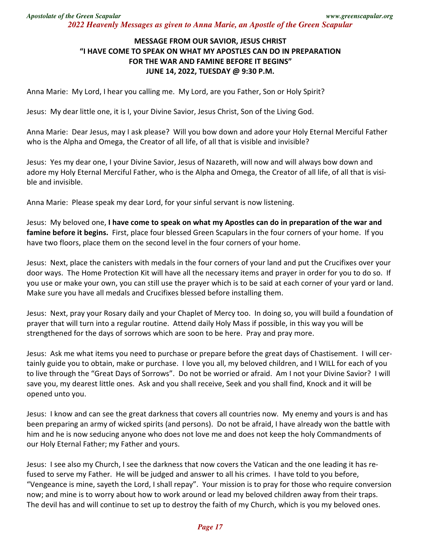## **MESSAGE FROM OUR SAVIOR, JESUS CHRIST "I HAVE COME TO SPEAK ON WHAT MY APOSTLES CAN DO IN PREPARATION FOR THE WAR AND FAMINE BEFORE IT BEGINS" JUNE 14, 2022, TUESDAY @ 9:30 P.M.**

Anna Marie: My Lord, I hear you calling me. My Lord, are you Father, Son or Holy Spirit?

Jesus: My dear little one, it is I, your Divine Savior, Jesus Christ, Son of the Living God.

Anna Marie: Dear Jesus, may I ask please? Will you bow down and adore your Holy Eternal Merciful Father who is the Alpha and Omega, the Creator of all life, of all that is visible and invisible?

Jesus: Yes my dear one, I your Divine Savior, Jesus of Nazareth, will now and will always bow down and adore my Holy Eternal Merciful Father, who is the Alpha and Omega, the Creator of all life, of all that is visible and invisible.

Anna Marie: Please speak my dear Lord, for your sinful servant is now listening.

Jesus: My beloved one, **I have come to speak on what my Apostles can do in preparation of the war and famine before it begins.** First, place four blessed Green Scapulars in the four corners of your home. If you have two floors, place them on the second level in the four corners of your home.

Jesus: Next, place the canisters with medals in the four corners of your land and put the Crucifixes over your door ways. The Home Protection Kit will have all the necessary items and prayer in order for you to do so. If you use or make your own, you can still use the prayer which is to be said at each corner of your yard or land. Make sure you have all medals and Crucifixes blessed before installing them.

Jesus: Next, pray your Rosary daily and your Chaplet of Mercy too. In doing so, you will build a foundation of prayer that will turn into a regular routine. Attend daily Holy Mass if possible, in this way you will be strengthened for the days of sorrows which are soon to be here. Pray and pray more.

Jesus: Ask me what items you need to purchase or prepare before the great days of Chastisement. I will certainly guide you to obtain, make or purchase. I love you all, my beloved children, and I WILL for each of you to live through the "Great Days of Sorrows". Do not be worried or afraid. Am I not your Divine Savior? I will save you, my dearest little ones. Ask and you shall receive, Seek and you shall find, Knock and it will be opened unto you.

Jesus: I know and can see the great darkness that covers all countries now. My enemy and yours is and has been preparing an army of wicked spirits (and persons). Do not be afraid, I have already won the battle with him and he is now seducing anyone who does not love me and does not keep the holy Commandments of our Holy Eternal Father; my Father and yours.

Jesus: I see also my Church, I see the darkness that now covers the Vatican and the one leading it has refused to serve my Father. He will be judged and answer to all his crimes. I have told to you before, "Vengeance is mine, sayeth the Lord, I shall repay". Your mission is to pray for those who require conversion now; and mine is to worry about how to work around or lead my beloved children away from their traps. The devil has and will continue to set up to destroy the faith of my Church, which is you my beloved ones.